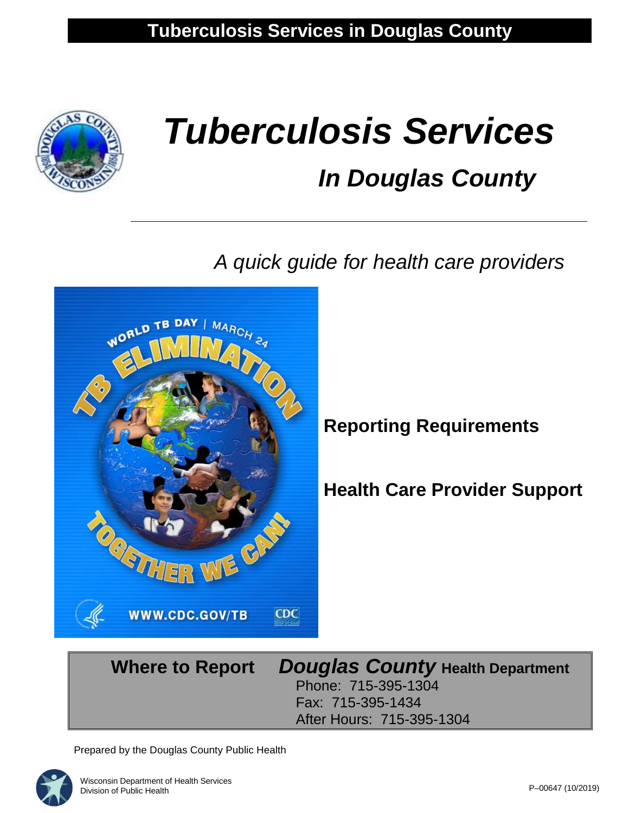

# *Tuberculosis Services In Douglas County*

 *A quick guide for health care providers* 



### **Reporting Requirements**

**Health Care Provider Support** 

#### **Where to Report** *Douglas County* **Health Department** Phone: 715-395-1304 Fax: 715-395-1434 After Hours: 715-395-1304

Prepared by the Douglas County Public Health

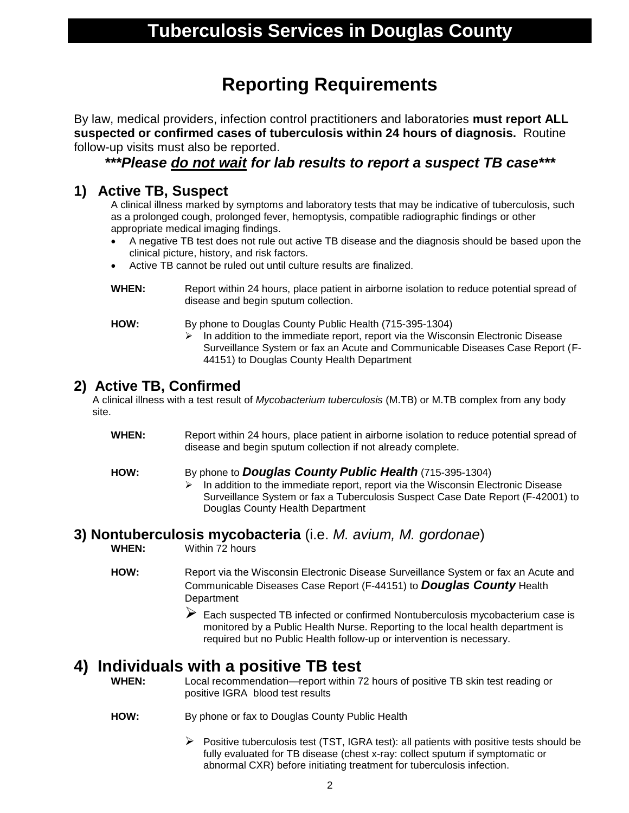### **Reporting Requirements**

By law, medical providers, infection control practitioners and laboratories **must report ALL suspected or confirmed cases of tuberculosis within 24 hours of diagnosis.** Routine follow-up visits must also be reported.

*\*\*\*Please do not wait for lab results to report a suspect TB case\*\*\**

#### **1) Active TB, Suspect**

A clinical illness marked by symptoms and laboratory tests that may be indicative of tuberculosis, such as a prolonged cough, prolonged fever, hemoptysis, compatible radiographic findings or other appropriate medical imaging findings.

- A negative TB test does not rule out active TB disease and the diagnosis should be based upon the clinical picture, history, and risk factors.
- Active TB cannot be ruled out until culture results are finalized.
- **WHEN:** Report within 24 hours, place patient in airborne isolation to reduce potential spread of disease and begin sputum collection.

- **HOW:** By phone to Douglas County Public Health (715-395-1304)
	- $\triangleright$  In addition to the immediate report, report via the Wisconsin Electronic Disease Surveillance System or fax an Acute and Communicable Diseases Case Report (F-44151) to Douglas County Health Department

#### **2) Active TB, Confirmed**

A clinical illness with a test result of *Mycobacterium tuberculosis* (M.TB) or M.TB complex from any body site.

**WHEN:** Report within 24 hours, place patient in airborne isolation to reduce potential spread of disease and begin sputum collection if not already complete.

#### **HOW:** By phone to *Douglas County Public Health* (715-395-1304)

 $\triangleright$  In addition to the immediate report, report via the Wisconsin Electronic Disease Surveillance System or fax a Tuberculosis Suspect Case Date Report (F-42001) to Douglas County Health Department

### **3) Nontuberculosis mycobacteria** (i.e. *M. avium, M. gordonae*)

Within 72 hours

- **HOW:** Report via the Wisconsin Electronic Disease Surveillance System or fax an Acute and Communicable Diseases Case Report (F-44151) to *Douglas County* Health **Department** 
	- $\triangleright$  Each suspected TB infected or confirmed Nontuberculosis mycobacterium case is monitored by a Public Health Nurse. Reporting to the local health department is required but no Public Health follow-up or intervention is necessary.

### **4) Individuals with a positive TB test**

**WHEN:** Local recommendation—report within 72 hours of positive TB skin test reading or positive IGRA blood test results

- **HOW:** By phone or fax to Douglas County Public Health
	- $\triangleright$  Positive tuberculosis test (TST, IGRA test): all patients with positive tests should be fully evaluated for TB disease (chest x-ray: collect sputum if symptomatic or abnormal CXR) before initiating treatment for tuberculosis infection.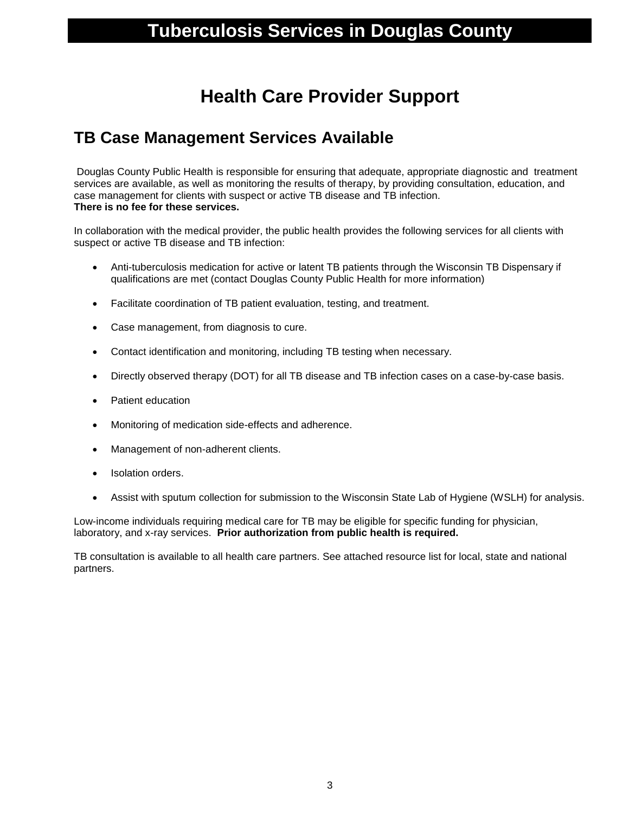### **Tuberculosis Services in Douglas County**

### **Health Care Provider Support**

#### **TB Case Management Services Available**

Douglas County Public Health is responsible for ensuring that adequate, appropriate diagnostic and treatment services are available, as well as monitoring the results of therapy, by providing consultation, education, and case management for clients with suspect or active TB disease and TB infection. **There is no fee for these services.**

In collaboration with the medical provider, the public health provides the following services for all clients with suspect or active TB disease and TB infection:

- Anti-tuberculosis medication for active or latent TB patients through the Wisconsin TB Dispensary if qualifications are met (contact Douglas County Public Health for more information)
- Facilitate coordination of TB patient evaluation, testing, and treatment.
- Case management, from diagnosis to cure.
- Contact identification and monitoring, including TB testing when necessary.
- Directly observed therapy (DOT) for all TB disease and TB infection cases on a case-by-case basis.
- Patient education
- Monitoring of medication side-effects and adherence.
- Management of non-adherent clients.
- Isolation orders.
- Assist with sputum collection for submission to the Wisconsin State Lab of Hygiene (WSLH) for analysis.

Low-income individuals requiring medical care for TB may be eligible for specific funding for physician, laboratory, and x-ray services. **Prior authorization from public health is required.**

TB consultation is available to all health care partners. See attached resource list for local, state and national partners.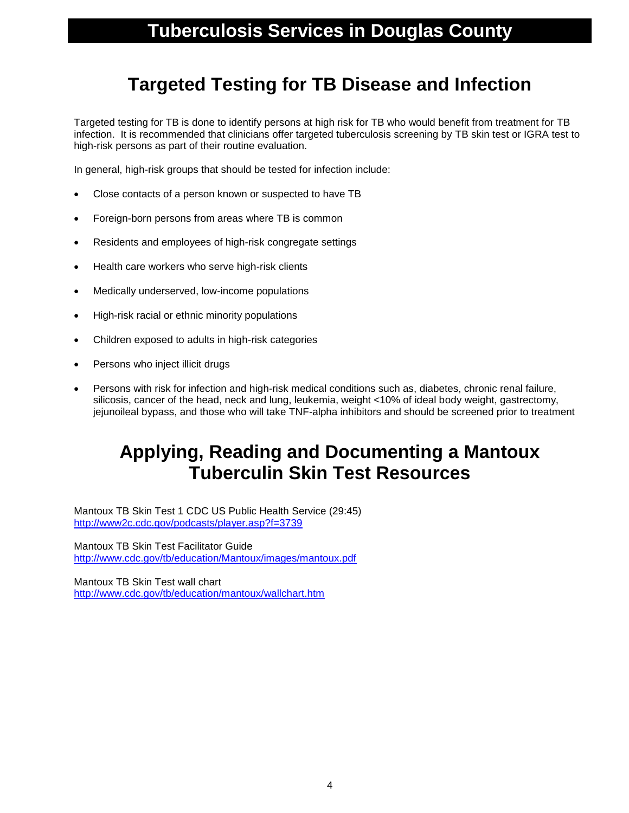### **Targeted Testing for TB Disease and Infection**

Targeted testing for TB is done to identify persons at high risk for TB who would benefit from treatment for TB infection. It is recommended that clinicians offer targeted tuberculosis screening by TB skin test or IGRA test to high-risk persons as part of their routine evaluation.

In general, high-risk groups that should be tested for infection include:

- Close contacts of a person known or suspected to have TB
- Foreign-born persons from areas where TB is common
- Residents and employees of high-risk congregate settings
- Health care workers who serve high-risk clients
- Medically underserved, low-income populations
- High-risk racial or ethnic minority populations
- Children exposed to adults in high-risk categories
- Persons who inject illicit drugs
- Persons with risk for infection and high-risk medical conditions such as, diabetes, chronic renal failure, silicosis, cancer of the head, neck and lung, leukemia, weight <10% of ideal body weight, gastrectomy, jejunoileal bypass, and those who will take TNF-alpha inhibitors and should be screened prior to treatment

### **Applying, Reading and Documenting a Mantoux Tuberculin Skin Test Resources**

Mantoux TB Skin Test 1 CDC US Public Health Service (29:45) <http://www2c.cdc.gov/podcasts/player.asp?f=3739>

Mantoux TB Skin Test Facilitator Guide <http://www.cdc.gov/tb/education/Mantoux/images/mantoux.pdf>

Mantoux TB Skin Test wall chart <http://www.cdc.gov/tb/education/mantoux/wallchart.htm>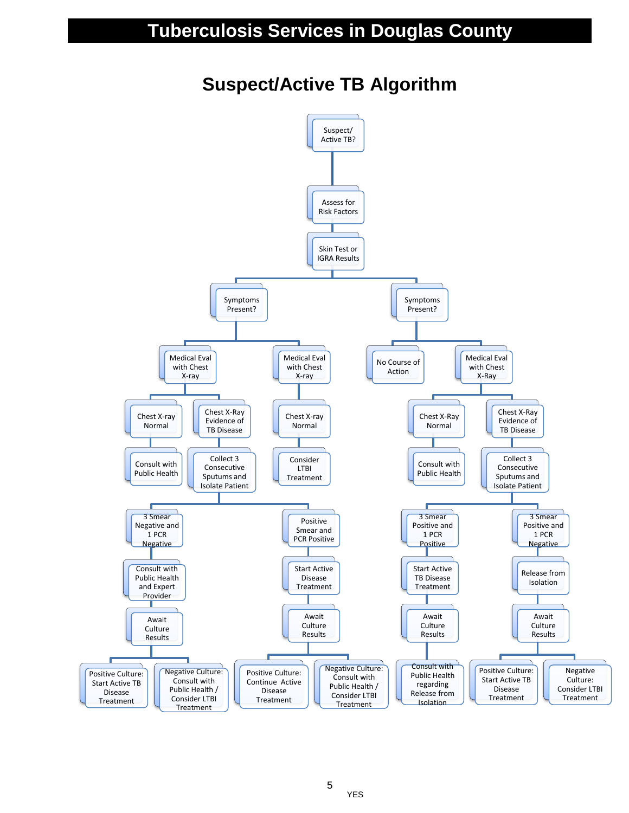### **Tuberculosis Services in Douglas County**

### **Suspect/Active TB Algorithm**



5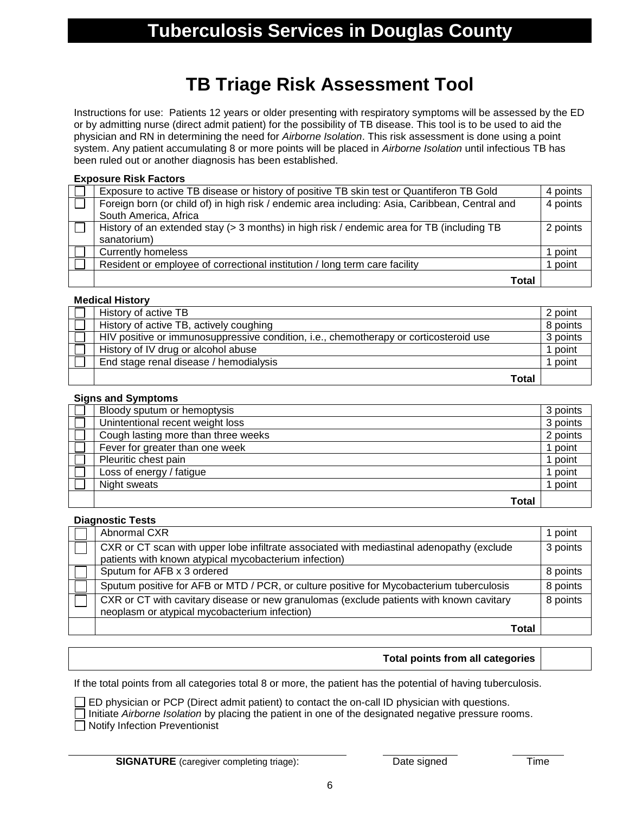### **TB Triage Risk Assessment Tool**

Instructions for use: Patients 12 years or older presenting with respiratory symptoms will be assessed by the ED or by admitting nurse (direct admit patient) for the possibility of TB disease. This tool is to be used to aid the physician and RN in determining the need for *Airborne Isolation*. This risk assessment is done using a point system. Any patient accumulating 8 or more points will be placed in *Airborne Isolation* until infectious TB has been ruled out or another diagnosis has been established.

#### **Exposure Risk Factors**

| Exposure to active TB disease or history of positive TB skin test or Quantiferon TB Gold       | 4 points |
|------------------------------------------------------------------------------------------------|----------|
| Foreign born (or child of) in high risk / endemic area including: Asia, Caribbean, Central and | 4 points |
| South America, Africa                                                                          |          |
| History of an extended stay (> 3 months) in high risk / endemic area for TB (including TB      | 2 points |
| sanatorium)                                                                                    |          |
| <b>Currently homeless</b>                                                                      | point    |
| Resident or employee of correctional institution / long term care facility                     | point    |
| Total                                                                                          |          |

#### **Medical History**

| History of active TB                                                                  | 2 point  |
|---------------------------------------------------------------------------------------|----------|
| History of active TB, actively coughing                                               | 8 points |
| HIV positive or immunosuppressive condition, i.e., chemotherapy or corticosteroid use | 3 points |
| History of IV drug or alcohol abuse                                                   | 1 point  |
| End stage renal disease / hemodialysis                                                | point    |
| <b>Total</b>                                                                          |          |

#### **Signs and Symptoms**

| Bloody sputum or hemoptysis         | 3 points |
|-------------------------------------|----------|
| Unintentional recent weight loss    | 3 points |
| Cough lasting more than three weeks | 2 points |
| Fever for greater than one week     | point    |
| Pleuritic chest pain                | point    |
| Loss of energy / fatigue            | point    |
| Night sweats                        | point    |
| Total                               |          |

#### **Diagnostic Tests**

| Abnormal CXR                                                                                                                             | 1 point  |
|------------------------------------------------------------------------------------------------------------------------------------------|----------|
| CXR or CT scan with upper lobe infiltrate associated with mediastinal adenopathy (exclude                                                | 3 points |
| patients with known atypical mycobacterium infection)                                                                                    |          |
| Sputum for AFB x 3 ordered                                                                                                               | 8 points |
| Sputum positive for AFB or MTD / PCR, or culture positive for Mycobacterium tuberculosis                                                 | 8 points |
| CXR or CT with cavitary disease or new granulomas (exclude patients with known cavitary<br>neoplasm or atypical mycobacterium infection) | 8 points |
| Total                                                                                                                                    |          |

#### **Total points from all categories**

If the total points from all categories total 8 or more, the patient has the potential of having tuberculosis.

 $\Box$  ED physician or PCP (Direct admit patient) to contact the on-call ID physician with questions.

Initiate *Airborne Isolation* by placing the patient in one of the designated negative pressure rooms.  $\Box$  Notify Infection Preventionist